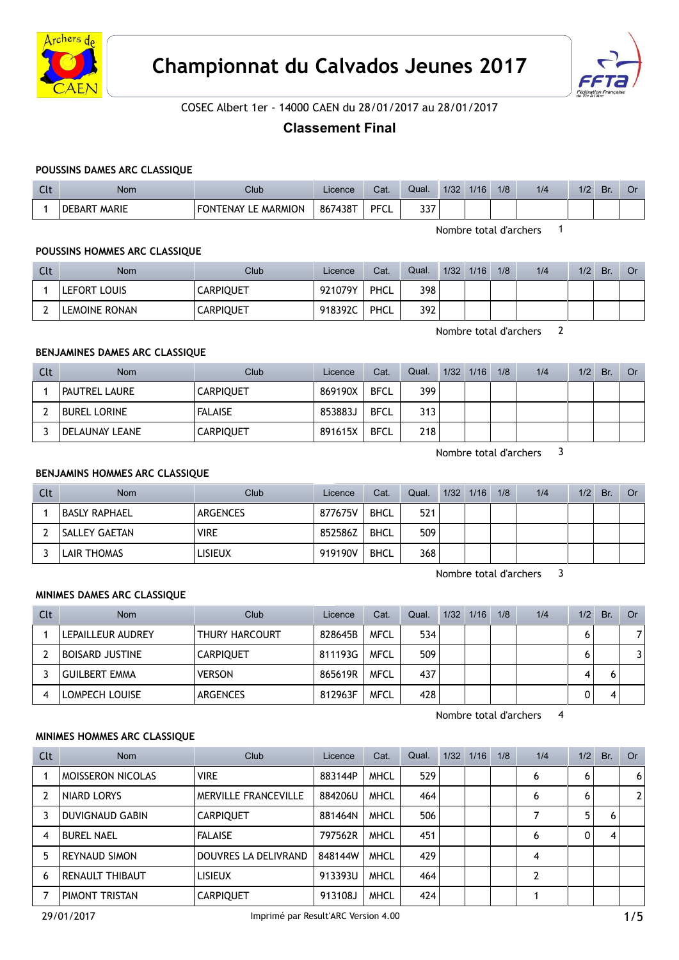



# COSEC Albert 1er - 14000 CAEN du 28/01/2017 au 28/01/2017

# Classement Final

## POUSSINS DAMES ARC CLASSIQUE

| $\sim$<br>๛ | Nom             | Club                                   | Licence | Cat.        | Qual.       | 1/32 | 1/16 | 1/8 | 1/4 | 1/2 | Br. | J٢ |
|-------------|-----------------|----------------------------------------|---------|-------------|-------------|------|------|-----|-----|-----|-----|----|
|             | MARIE<br>DEBART | <b>FONTENAY</b><br><b>MARMION</b><br>. | 867438T | <b>PFCL</b> | ,,,<br>JJ 1 |      |      |     |     |     |     |    |

Nombre total d'archers 1

### POUSSINS HOMMES ARC CLASSIQUE

| Clt | Nom           | Club             | Licence | Cat. | Qual. | 1/32 | 1/16 | 1/8 | 1/4 | 1/2 | Br. | Or |
|-----|---------------|------------------|---------|------|-------|------|------|-----|-----|-----|-----|----|
|     | LEFORT LOUIS  | <b>CARPIQUET</b> | 921079Y | PHCL | 398   |      |      |     |     |     |     |    |
|     | LEMOINE RONAN | <b>CARPIQUET</b> | 918392C | PHCL | 392   |      |      |     |     |     |     |    |

Nombre total d'archers 2

#### BENJAMINES DAMES ARC CLASSIQUE

| Clt | <b>Nom</b>          | Club             | Licence | Cat.        | Qual. | 1/32 1/16 | 1/8 | 1/4 | 1/2 | Br. | Or |
|-----|---------------------|------------------|---------|-------------|-------|-----------|-----|-----|-----|-----|----|
|     | PAUTREL LAURE       | <b>CARPIOUET</b> | 869190X | <b>BFCL</b> | 399   |           |     |     |     |     |    |
|     | <b>BUREL LORINE</b> | <b>FALAISE</b>   | 853883J | <b>BFCL</b> | 313   |           |     |     |     |     |    |
|     | DELAUNAY LEANE      | <b>CARPIQUET</b> | 891615X | <b>BFCL</b> | 218   |           |     |     |     |     |    |

Nombre total d'archers 3

## BENJAMINS HOMMES ARC CLASSIQUE

| Clt | <b>Nom</b>           | Club        | Licence | Cat.        | Qual. | 1/32 1/16 | 1/8 | 1/4 | 1/2 | <b>Br</b> | Or |
|-----|----------------------|-------------|---------|-------------|-------|-----------|-----|-----|-----|-----------|----|
|     | BASLY RAPHAEL        | ARGENCES    | 877675V | <b>BHCL</b> | 521   |           |     |     |     |           |    |
|     | <b>SALLEY GAETAN</b> | <b>VIRE</b> | 852586Z | <b>BHCL</b> | 509   |           |     |     |     |           |    |
|     | LAIR THOMAS          | LISIEUX     | 919190V | <b>BHCL</b> | 368   |           |     |     |     |           |    |

Nombre total d'archers 3

#### MINIMES DAMES ARC CLASSIQUE

| Clt | <b>Nom</b>             | Club                  | Licence | Cat.        | Qual. | 1/32 1/16 | 1/8 | 1/4 | 1/2 | Br. | Or |
|-----|------------------------|-----------------------|---------|-------------|-------|-----------|-----|-----|-----|-----|----|
|     | LEPAILLEUR AUDREY      | <b>THURY HARCOURT</b> | 828645B | <b>MFCL</b> | 534   |           |     |     | 0   |     |    |
|     | <b>BOISARD JUSTINE</b> | <b>CARPIQUET</b>      | 811193G | <b>MFCL</b> | 509   |           |     |     | O   |     |    |
|     | <b>GUILBERT EMMA</b>   | <b>VERSON</b>         | 865619R | <b>MFCL</b> | 437   |           |     |     | 4   |     |    |
| 4   | LOMPECH LOUISE         | <b>ARGENCES</b>       | 812963F | <b>MFCL</b> | 428   |           |     |     |     |     |    |

Nombre total d'archers 4

#### MINIMES HOMMES ARC CLASSIQUE

| Clt | <b>Nom</b>               | Club                 | Licence | Cat.        | Qual. | 1/32 1/16 | 1/8 | 1/4 | 1/2            | Br. | <b>Or</b>      |
|-----|--------------------------|----------------------|---------|-------------|-------|-----------|-----|-----|----------------|-----|----------------|
|     | <b>MOISSERON NICOLAS</b> | <b>VIRE</b>          | 883144P | <b>MHCL</b> | 529   |           |     | 6   | 6              |     | 6 <sup>1</sup> |
|     | NIARD LORYS              | MERVILLE FRANCEVILLE | 884206U | <b>MHCL</b> | 464   |           |     | 6   | 6              |     | 2 <sup>1</sup> |
|     | <b>DUVIGNAUD GABIN</b>   | <b>CARPIQUET</b>     | 881464N | <b>MHCL</b> | 506   |           |     |     | 5 <sup>1</sup> | 6   |                |
| 4   | <b>BUREL NAEL</b>        | <b>FALAISE</b>       | 797562R | <b>MHCL</b> | 451   |           |     | 6   | 0              | 4   |                |
| 5   | <b>REYNAUD SIMON</b>     | DOUVRES LA DELIVRAND | 848144W | <b>MHCL</b> | 429   |           |     | 4   |                |     |                |
| 6   | <b>RENAULT THIBAUT</b>   | <b>LISIEUX</b>       | 913393U | <b>MHCL</b> | 464   |           |     | 2   |                |     |                |
|     | PIMONT TRISTAN           | <b>CARPIQUET</b>     | 913108J | <b>MHCL</b> | 424   |           |     |     |                |     |                |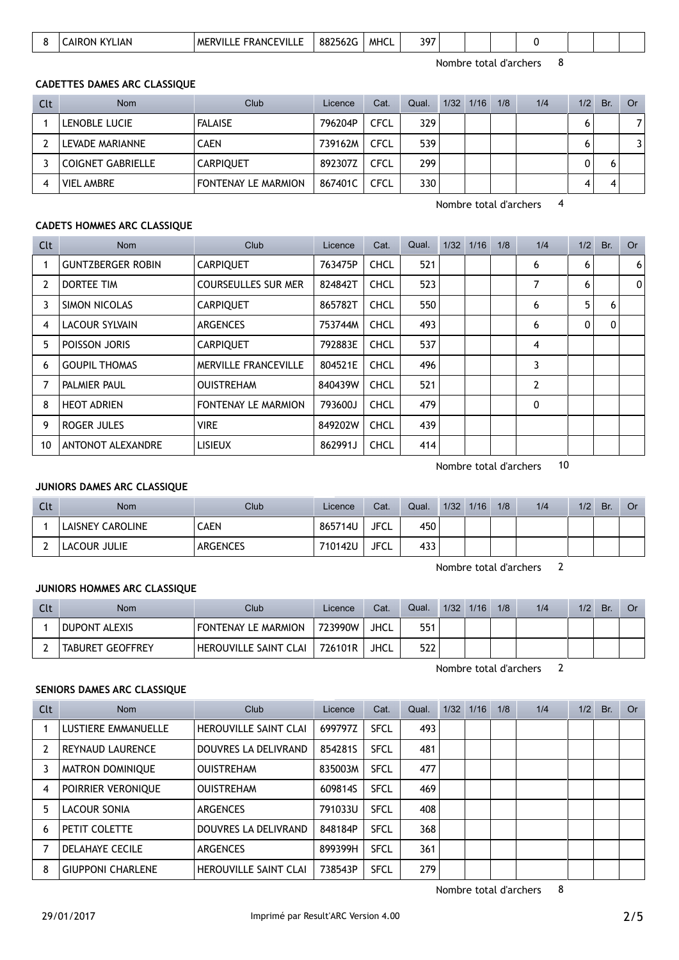|  |  | $\mathbf{v}$ | ΜI<br>ANO<br>∵v⊪<br>. . | ່ ດດລະ<br>. ററ.<br>. | <b>MHC</b> | $\sim$<br>. |  |  |  |  |  |  |  |  |
|--|--|--------------|-------------------------|----------------------|------------|-------------|--|--|--|--|--|--|--|--|
|--|--|--------------|-------------------------|----------------------|------------|-------------|--|--|--|--|--|--|--|--|

Nombre total d'archers 8

Nombre total d'archers 4

### CADETTES DAMES ARC CLASSIQUE

| Clt | <b>Nom</b>               | Club                | Licence | Cat.        | Qual. | 1/32 1/16 | 1/8 | 1/4 | 1/2 | Br. | Or |
|-----|--------------------------|---------------------|---------|-------------|-------|-----------|-----|-----|-----|-----|----|
|     | LENOBLE LUCIE            | <b>FALAISE</b>      | 796204P | <b>CFCL</b> | 329   |           |     |     | 6   |     | 7  |
|     | LEVADE MARIANNE          | <b>CAEN</b>         | 739162M | <b>CFCL</b> | 539   |           |     |     | 6   |     | 3  |
|     | <b>COIGNET GABRIELLE</b> | <b>CARPIQUET</b>    | 892307Z | <b>CFCL</b> | 299   |           |     |     |     |     |    |
|     | <b>VIEL AMBRE</b>        | FONTENAY LE MARMION | 867401C | <b>CFCL</b> | 330   |           |     |     | 4   |     |    |

### CADETS HOMMES ARC CLASSIQUE

| Clt            | Nom                      | Club                        | Licence | Cat.        | Qual. | 1/32 1/16 | 1/8 | 1/4 | 1/2            | Br. | <b>Or</b>      |
|----------------|--------------------------|-----------------------------|---------|-------------|-------|-----------|-----|-----|----------------|-----|----------------|
|                | <b>GUNTZBERGER ROBIN</b> | <b>CARPIQUET</b>            | 763475P | <b>CHCL</b> | 521   |           |     | 6   | 6              |     | 6 <sup>1</sup> |
| $\overline{2}$ | <b>DORTEE TIM</b>        | <b>COURSEULLES SUR MER</b>  | 824842T | <b>CHCL</b> | 523   |           |     | 7   | 6              |     | 0              |
| 3              | SIMON NICOLAS            | <b>CARPIQUET</b>            | 865782T | <b>CHCL</b> | 550   |           |     | 6   | 5 <sup>1</sup> | 6   |                |
| 4              | <b>LACOUR SYLVAIN</b>    | <b>ARGENCES</b>             | 753744M | <b>CHCL</b> | 493   |           |     | 6   | 0              | 0   |                |
| 5              | POISSON JORIS            | <b>CARPIQUET</b>            | 792883E | <b>CHCL</b> | 537   |           |     | 4   |                |     |                |
| 6              | <b>GOUPIL THOMAS</b>     | <b>MERVILLE FRANCEVILLE</b> | 804521E | <b>CHCL</b> | 496   |           |     | 3   |                |     |                |
|                | PALMIER PAUL             | <b>OUISTREHAM</b>           | 840439W | <b>CHCL</b> | 521   |           |     | 2   |                |     |                |
| 8              | <b>HEOT ADRIEN</b>       | FONTENAY LE MARMION         | 793600J | <b>CHCL</b> | 479   |           |     | 0   |                |     |                |
| 9              | ROGER JULES              | <b>VIRE</b>                 | 849202W | <b>CHCL</b> | 439   |           |     |     |                |     |                |
| 10             | ANTONOT ALEXANDRE        | <b>LISIEUX</b>              | 862991J | <b>CHCL</b> | 414   |           |     |     |                |     |                |

Nombre total d'archers 10

### JUNIORS DAMES ARC CLASSIQUE

| Clt | <b>Nom</b>              | Club            | Licence | Cat.        | Qual. | 1/32 | 1/16 | 1/8 | 1/4 | 1/2 | Br. | Or |
|-----|-------------------------|-----------------|---------|-------------|-------|------|------|-----|-----|-----|-----|----|
|     | <b>LAISNEY CAROLINE</b> | CAEN            | 865714U | <b>JFCL</b> | 450   |      |      |     |     |     |     |    |
|     | LACOUR JULIE            | <b>ARGENCES</b> | 710142U | <b>JFCL</b> | 433   |      |      |     |     |     |     |    |

Nombre total d'archers 2

#### JUNIORS HOMMES ARC CLASSIQUE

| Clt | Nom                     | Club                         | Licence | Cat.        | Qual. | 1/32 | 1/16 | 1/8 | 1/4 | 1/2 | Br. | Or |
|-----|-------------------------|------------------------------|---------|-------------|-------|------|------|-----|-----|-----|-----|----|
|     | <b>DUPONT ALEXIS</b>    | FONTENAY LE MARMION          | 723990W | <b>JHCL</b> | 551   |      |      |     |     |     |     |    |
|     | <b>TABURET GEOFFREY</b> | <b>HEROUVILLE SAINT CLAI</b> | 726101R | JHCL        | 522   |      |      |     |     |     |     |    |

Nombre total d'archers 2

## SENIORS DAMES ARC CLASSIQUE

| Clt            | <b>Nom</b>               | Club                         | Licence | Cat.        | Qual. | $1/32$ $1/16$ | 1/8 | 1/4 | 1/2 | Br. | Or |
|----------------|--------------------------|------------------------------|---------|-------------|-------|---------------|-----|-----|-----|-----|----|
|                | LUSTIERE EMMANUELLE      | <b>HEROUVILLE SAINT CLAI</b> | 699797Z | <b>SFCL</b> | 493   |               |     |     |     |     |    |
| $\overline{2}$ | <b>REYNAUD LAURENCE</b>  | DOUVRES LA DELIVRAND         | 8542815 | <b>SFCL</b> | 481   |               |     |     |     |     |    |
| 3              | MATRON DOMINIQUE         | <b>OUISTREHAM</b>            | 835003M | <b>SFCL</b> | 477   |               |     |     |     |     |    |
| 4              | POIRRIER VERONIQUE       | <b>OUISTREHAM</b>            | 609814S | <b>SFCL</b> | 469   |               |     |     |     |     |    |
| 5              | LACOUR SONIA             | ARGENCES                     | 791033U | <b>SFCL</b> | 408   |               |     |     |     |     |    |
| 6              | PETIT COLETTE            | DOUVRES LA DELIVRAND         | 848184P | <b>SFCL</b> | 368   |               |     |     |     |     |    |
|                | <b>DELAHAYE CECILE</b>   | <b>ARGENCES</b>              | 899399H | <b>SFCL</b> | 361   |               |     |     |     |     |    |
| 8              | <b>GIUPPONI CHARLENE</b> | <b>HEROUVILLE SAINT CLAI</b> | 738543P | <b>SFCL</b> | 279   |               |     |     |     |     |    |

Nombre total d'archers 8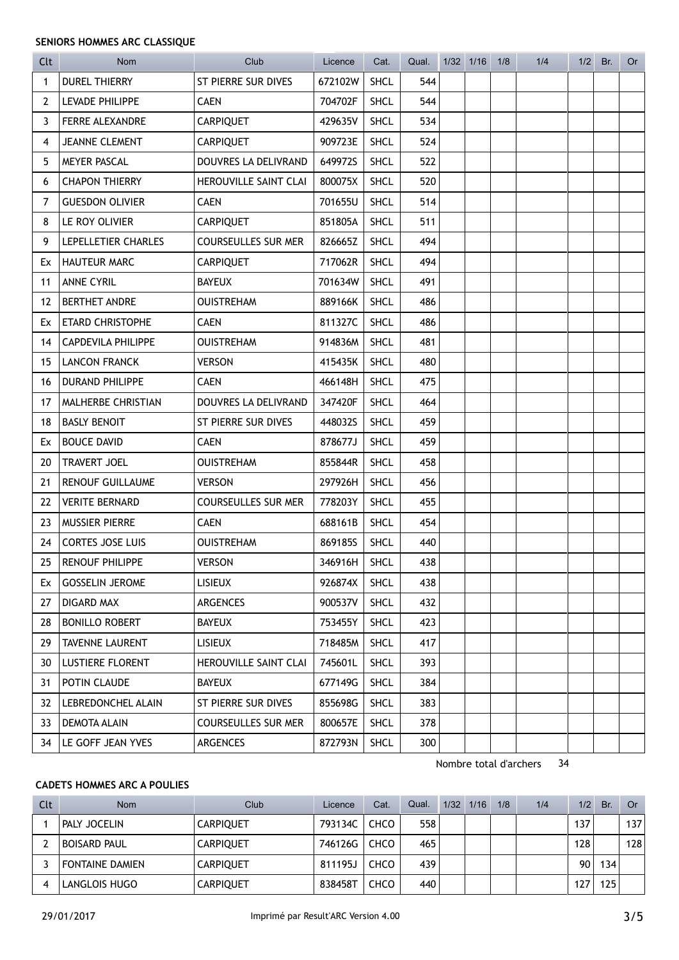### SENIORS HOMMES ARC CLASSIQUE

| Clt            | <b>Nom</b>                | Club                       | Licence | Cat.        | Qual. | 1/32 1/16 | 1/8 | 1/4 | $1/2$ Br. | <b>Or</b> |
|----------------|---------------------------|----------------------------|---------|-------------|-------|-----------|-----|-----|-----------|-----------|
| 1              | <b>DUREL THIERRY</b>      | ST PIERRE SUR DIVES        | 672102W | <b>SHCL</b> | 544   |           |     |     |           |           |
| $\overline{2}$ | LEVADE PHILIPPE           | <b>CAEN</b>                | 704702F | <b>SHCL</b> | 544   |           |     |     |           |           |
| 3              | FERRE ALEXANDRE           | CARPIQUET                  | 429635V | <b>SHCL</b> | 534   |           |     |     |           |           |
| 4              | <b>JEANNE CLEMENT</b>     | CARPIQUET                  | 909723E | SHCL        | 524   |           |     |     |           |           |
| 5              | MEYER PASCAL              | DOUVRES LA DELIVRAND       | 649972S | <b>SHCL</b> | 522   |           |     |     |           |           |
| 6              | <b>CHAPON THIERRY</b>     | HEROUVILLE SAINT CLAI      | 800075X | <b>SHCL</b> | 520   |           |     |     |           |           |
| 7              | <b>GUESDON OLIVIER</b>    | <b>CAEN</b>                | 701655U | <b>SHCL</b> | 514   |           |     |     |           |           |
| 8              | LE ROY OLIVIER            | <b>CARPIQUET</b>           | 851805A | <b>SHCL</b> | 511   |           |     |     |           |           |
| 9              | LEPELLETIER CHARLES       | <b>COURSEULLES SUR MER</b> | 826665Z | <b>SHCL</b> | 494   |           |     |     |           |           |
| Ex             | <b>HAUTEUR MARC</b>       | <b>CARPIQUET</b>           | 717062R | <b>SHCL</b> | 494   |           |     |     |           |           |
| 11             | <b>ANNE CYRIL</b>         | <b>BAYEUX</b>              | 701634W | <b>SHCL</b> | 491   |           |     |     |           |           |
| 12             | <b>BERTHET ANDRE</b>      | <b>OUISTREHAM</b>          | 889166K | <b>SHCL</b> | 486   |           |     |     |           |           |
| Ex             | <b>ETARD CHRISTOPHE</b>   | <b>CAEN</b>                | 811327C | <b>SHCL</b> | 486   |           |     |     |           |           |
| 14             | <b>CAPDEVILA PHILIPPE</b> | <b>OUISTREHAM</b>          | 914836M | <b>SHCL</b> | 481   |           |     |     |           |           |
| 15             | <b>LANCON FRANCK</b>      | <b>VERSON</b>              | 415435K | <b>SHCL</b> | 480   |           |     |     |           |           |
| 16             | <b>DURAND PHILIPPE</b>    | <b>CAEN</b>                | 466148H | SHCL        | 475   |           |     |     |           |           |
| 17             | MALHERBE CHRISTIAN        | DOUVRES LA DELIVRAND       | 347420F | SHCL        | 464   |           |     |     |           |           |
| 18             | <b>BASLY BENOIT</b>       | ST PIERRE SUR DIVES        | 448032S | <b>SHCL</b> | 459   |           |     |     |           |           |
| Ex             | <b>BOUCE DAVID</b>        | <b>CAEN</b>                | 878677J | <b>SHCL</b> | 459   |           |     |     |           |           |
| 20             | <b>TRAVERT JOEL</b>       | <b>OUISTREHAM</b>          | 855844R | <b>SHCL</b> | 458   |           |     |     |           |           |
| 21             | <b>RENOUF GUILLAUME</b>   | <b>VERSON</b>              | 297926H | SHCL        | 456   |           |     |     |           |           |
| 22             | <b>VERITE BERNARD</b>     | <b>COURSEULLES SUR MER</b> | 778203Y | SHCL        | 455   |           |     |     |           |           |
| 23             | MUSSIER PIERRE            | <b>CAEN</b>                | 688161B | <b>SHCL</b> | 454   |           |     |     |           |           |
| 24             | <b>CORTES JOSE LUIS</b>   | <b>OUISTREHAM</b>          | 8691855 | <b>SHCL</b> | 440   |           |     |     |           |           |
| 25             | <b>RENOUF PHILIPPE</b>    | <b>VERSON</b>              | 346916H | SHCL        | 438   |           |     |     |           |           |
| Ex             | <b>GOSSELIN JEROME</b>    | <b>LISIEUX</b>             | 926874X | <b>SHCL</b> | 438   |           |     |     |           |           |
| 27             | DIGARD MAX                | <b>ARGENCES</b>            | 900537V | <b>SHCL</b> | 432   |           |     |     |           |           |
| 28             | <b>BONILLO ROBERT</b>     | <b>BAYEUX</b>              | 753455Y | <b>SHCL</b> | 423   |           |     |     |           |           |
| 29             | <b>TAVENNE LAURENT</b>    | LISIEUX                    | 718485M | <b>SHCL</b> | 417   |           |     |     |           |           |
| 30             | <b>LUSTIERE FLORENT</b>   | HEROUVILLE SAINT CLAI      | 745601L | <b>SHCL</b> | 393   |           |     |     |           |           |
| 31             | POTIN CLAUDE              | <b>BAYEUX</b>              | 677149G | <b>SHCL</b> | 384   |           |     |     |           |           |
| 32             | LEBREDONCHEL ALAIN        | ST PIERRE SUR DIVES        | 855698G | <b>SHCL</b> | 383   |           |     |     |           |           |
| 33             | DEMOTA ALAIN              | <b>COURSEULLES SUR MER</b> | 800657E | <b>SHCL</b> | 378   |           |     |     |           |           |
| 34             | LE GOFF JEAN YVES         | ARGENCES                   | 872793N | <b>SHCL</b> | 300   |           |     |     |           |           |

Nombre total d'archers 34

## CADETS HOMMES ARC A POULIES

| Clt | <b>Nom</b>             | Club             | Licence | Cat. | Qual. | 1/32 | 1/16 | 1/8 | 1/4 | 1/2 | Br. | Or  |
|-----|------------------------|------------------|---------|------|-------|------|------|-----|-----|-----|-----|-----|
|     | PALY JOCELIN           | <b>CARPIOUET</b> | 793134C | CHCO | 558   |      |      |     |     | 137 |     | 137 |
|     | <b>BOISARD PAUL</b>    | <b>CARPIOUET</b> | 746126G | CHCO | 465   |      |      |     |     | 128 |     | 128 |
|     | <b>FONTAINE DAMIEN</b> | <b>CARPIOUET</b> | 811195J | CHCO | 439   |      |      |     |     | 90  | 134 |     |
|     | LANGLOIS HUGO          | <b>CARPIQUET</b> | 838458T | CHCO | 440   |      |      |     |     | 27  | 125 |     |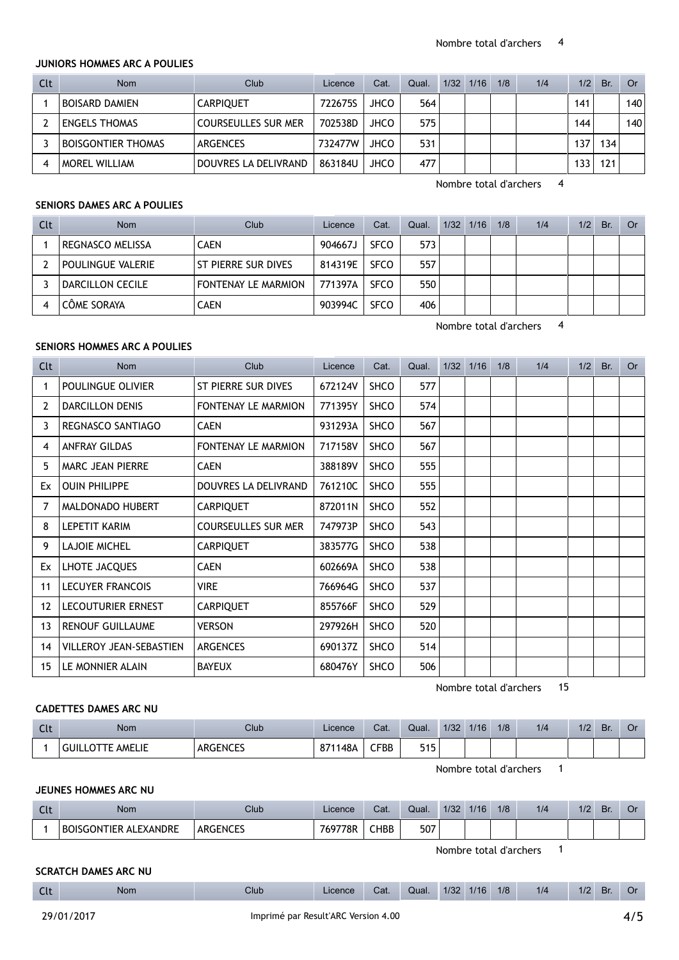#### JUNIORS HOMMES ARC A POULIES

| Clt | <b>Nom</b>                | Club                       | Licence | Cat.        | Qual. | 1/32 | 1/16 | 1/8 | 1/4 | 1/2 | Br. | 0r  |
|-----|---------------------------|----------------------------|---------|-------------|-------|------|------|-----|-----|-----|-----|-----|
|     | <b>BOISARD DAMIEN</b>     | <b>CARPIOUET</b>           | 722675S | <b>JHCO</b> | 564   |      |      |     |     | 141 |     | 140 |
|     | <b>ENGELS THOMAS</b>      | <b>COURSEULLES SUR MER</b> | 702538D | <b>JHCO</b> | 575   |      |      |     |     | 144 |     | 140 |
|     | <b>BOISGONTIER THOMAS</b> | ARGENCES                   | 732477W | <b>JHCO</b> | 531   |      |      |     |     | 37  | 134 |     |
| 4   | <b>MOREL WILLIAM</b>      | DOUVRES LA DELIVRAND       | 863184U | <b>JHCO</b> | 477   |      |      |     |     | 133 | 121 |     |

Nombre total d'archers 4

## SENIORS DAMES ARC A POULIES

| Clt | <b>Nom</b>        | Club                | Licence | Cat.        | Qual. | $1/32$ $1/16$ | 1/8 | 1/4 | 1/2 | Br. | <b>Or</b> |
|-----|-------------------|---------------------|---------|-------------|-------|---------------|-----|-----|-----|-----|-----------|
|     | REGNASCO MELISSA  | CAEN                | 904667J | <b>SFCO</b> | 573   |               |     |     |     |     |           |
|     | POULINGUE VALERIE | ST PIERRE SUR DIVES | 814319E | <b>SFCO</b> | 557   |               |     |     |     |     |           |
|     | DARCILLON CECILE  | FONTENAY LE MARMION | 771397A | <b>SFCO</b> | 550   |               |     |     |     |     |           |
|     | CÔME SORAYA       | <b>CAEN</b>         | 903994C | <b>SFCO</b> | 406   |               |     |     |     |     |           |

Nombre total d'archers 4

### SENIORS HOMMES ARC A POULIES

| Clt               | <b>Nom</b>                     | Club                       | Licence | Cat.        | Qual. | 1/32 | 1/16 | 1/8 | 1/4                          | 1/2 | Br. | <b>Or</b> |
|-------------------|--------------------------------|----------------------------|---------|-------------|-------|------|------|-----|------------------------------|-----|-----|-----------|
| 1                 | <b>POULINGUE OLIVIER</b>       | ST PIERRE SUR DIVES        | 672124V | SHCO        | 577   |      |      |     |                              |     |     |           |
| $\overline{2}$    | DARCILLON DENIS                | FONTENAY LE MARMION        | 771395Y | <b>SHCO</b> | 574   |      |      |     |                              |     |     |           |
| 3                 | REGNASCO SANTIAGO              | <b>CAEN</b>                | 931293A | SHCO        | 567   |      |      |     |                              |     |     |           |
| 4                 | <b>ANFRAY GILDAS</b>           | <b>FONTENAY LE MARMION</b> | 717158V | <b>SHCO</b> | 567   |      |      |     |                              |     |     |           |
| 5                 | <b>MARC JEAN PIERRE</b>        | <b>CAEN</b>                | 388189V | <b>SHCO</b> | 555   |      |      |     |                              |     |     |           |
| Ex                | <b>OUIN PHILIPPE</b>           | DOUVRES LA DELIVRAND       | 761210C | <b>SHCO</b> | 555   |      |      |     |                              |     |     |           |
| 7                 | MALDONADO HUBERT               | <b>CARPIQUET</b>           | 872011N | SHCO        | 552   |      |      |     |                              |     |     |           |
| 8                 | LEPETIT KARIM                  | <b>COURSEULLES SUR MER</b> | 747973P | <b>SHCO</b> | 543   |      |      |     |                              |     |     |           |
| 9                 | <b>LAJOIE MICHEL</b>           | <b>CARPIQUET</b>           | 383577G | <b>SHCO</b> | 538   |      |      |     |                              |     |     |           |
| Ex                | LHOTE JACQUES                  | <b>CAEN</b>                | 602669A | <b>SHCO</b> | 538   |      |      |     |                              |     |     |           |
| 11                | <b>LECUYER FRANCOIS</b>        | <b>VIRE</b>                | 766964G | <b>SHCO</b> | 537   |      |      |     |                              |     |     |           |
| $12 \overline{ }$ | LECOUTURIER ERNEST             | <b>CARPIQUET</b>           | 855766F | <b>SHCO</b> | 529   |      |      |     |                              |     |     |           |
| 13                | <b>RENOUF GUILLAUME</b>        | <b>VERSON</b>              | 297926H | <b>SHCO</b> | 520   |      |      |     |                              |     |     |           |
| 14                | <b>VILLEROY JEAN-SEBASTIEN</b> | <b>ARGENCES</b>            | 690137Z | <b>SHCO</b> | 514   |      |      |     |                              |     |     |           |
| 15                | LE MONNIER ALAIN               | <b>BAYEUX</b>              | 680476Y | SHCO        | 506   |      |      |     |                              |     |     |           |
|                   |                                |                            |         |             |       |      |      |     | 15<br>Nombre total d'archers |     |     |           |

## CADETTES DAMES ARC NU

| Clt | Nom                        | Club            | Licence | Cat.         | Qual.      | 1/32 | 1/16 | 1/8 | 1/4 | 1/2 | <b>Br</b> | UI |
|-----|----------------------------|-----------------|---------|--------------|------------|------|------|-----|-----|-----|-----------|----|
|     | <b>GUILLOTTE</b><br>AMELIE | <b>ARGENCES</b> | 871148A | ${\sf CFBB}$ | 515<br>JIJ |      |      |     |     |     |           |    |

Nombre total d'archers 1

#### JEUNES HOMMES ARC NU

| Clt | Nom                          | Club            | Licence | Cat. | Qual. | 1/32 | 1/16 | 1/8 | 1/4 | 1/2 | Br |  |
|-----|------------------------------|-----------------|---------|------|-------|------|------|-----|-----|-----|----|--|
|     | <b>BOISGONTIER ALEXANDRE</b> | <b>ARGENCES</b> | 769778R | CHBB | 507   |      |      |     |     |     |    |  |

Nombre total d'archers 1

## SCRATCH DAMES ARC NU

| Clt | Nom | Club |  | Licence Cat. Qual. 1/32 1/16 1/8 | 1/4 | 1/2 Br. Or |  |
|-----|-----|------|--|----------------------------------|-----|------------|--|
|     |     |      |  |                                  |     |            |  |